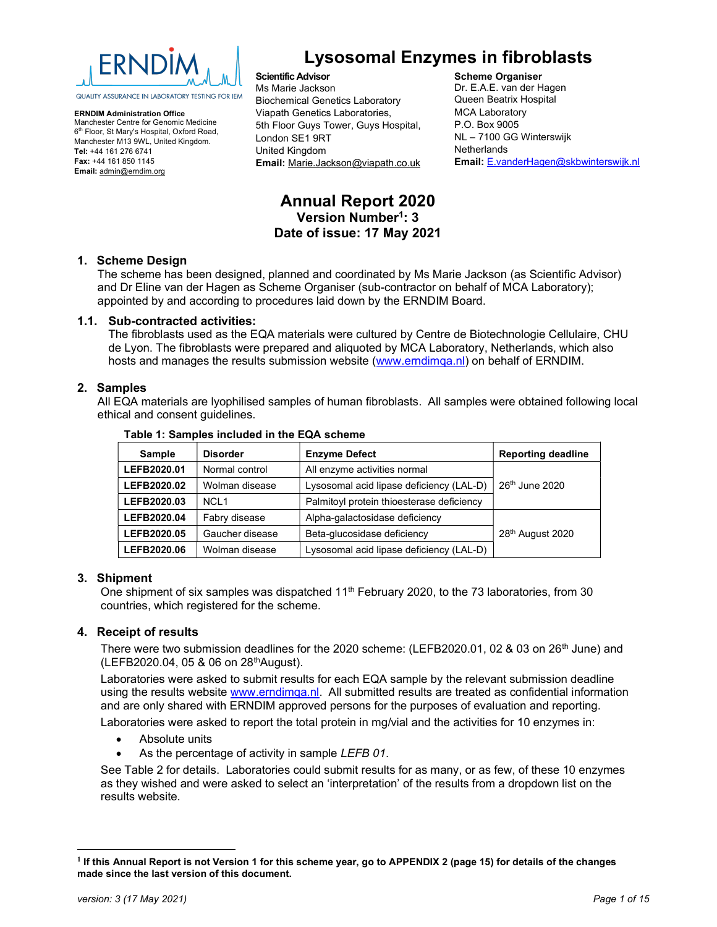

ERNDIM Administration Office Manchester Centre for Genomic Medicine 6<sup>th</sup> Floor, St Mary's Hospital, Oxford Road, Manchester M13 9WL, United Kingdom. Tel: +44 161 276 6741 Fax: +44 161 850 1145 Email: admin@erndim.org

# Lysosomal Enzymes in fibroblasts

Scientific Advisor Ms Marie Jackson Biochemical Genetics Laboratory Viapath Genetics Laboratories, 5th Floor Guys Tower, Guys Hospital, London SE1 9RT United Kingdom Email: Marie.Jackson@viapath.co.uk

#### Scheme Organiser

Dr. E.A.E. van der Hagen Queen Beatrix Hospital MCA Laboratory P.O. Box 9005 NL – 7100 GG Winterswijk **Netherlands** Email: E.vanderHagen@skbwinterswijk.nl

# Annual Report 2020 Version Number<sup>1</sup>: 3 Date of issue: 17 May 2021

### 1. Scheme Design

The scheme has been designed, planned and coordinated by Ms Marie Jackson (as Scientific Advisor) and Dr Eline van der Hagen as Scheme Organiser (sub-contractor on behalf of MCA Laboratory); appointed by and according to procedures laid down by the ERNDIM Board.

### 1.1. Sub-contracted activities:

The fibroblasts used as the EQA materials were cultured by Centre de Biotechnologie Cellulaire, CHU de Lyon. The fibroblasts were prepared and aliquoted by MCA Laboratory, Netherlands, which also hosts and manages the results submission website (www.erndimqa.nl) on behalf of ERNDIM.

### 2. Samples

All EQA materials are lyophilised samples of human fibroblasts. All samples were obtained following local ethical and consent guidelines.

| <b>Sample</b>                                                 | <b>Disorder</b>  | <b>Enzyme Defect</b>                      | <b>Reporting deadline</b>  |
|---------------------------------------------------------------|------------------|-------------------------------------------|----------------------------|
| LEFB2020.01                                                   | Normal control   | All enzyme activities normal              |                            |
| LEFB2020.02                                                   | Wolman disease   | Lysosomal acid lipase deficiency (LAL-D)  | 26 <sup>th</sup> June 2020 |
| LEFB2020.03                                                   | NCL <sub>1</sub> | Palmitoyl protein thioesterase deficiency |                            |
| LEFB2020.04                                                   | Fabry disease    | Alpha-galactosidase deficiency            |                            |
| Gaucher disease<br>Beta-glucosidase deficiency<br>LEFB2020.05 |                  |                                           | 28th August 2020           |
| LEFB2020.06                                                   | Wolman disease   | Lysosomal acid lipase deficiency (LAL-D)  |                            |

#### Table 1: Samples included in the EQA scheme

### 3. Shipment

One shipment of six samples was dispatched  $11^{th}$  February 2020, to the 73 laboratories, from 30 countries, which registered for the scheme.

### 4. Receipt of results

There were two submission deadlines for the 2020 scheme: (LEFB2020.01, 02 & 03 on 26<sup>th</sup> June) and (LEFB2020.04, 05 & 06 on 28thAugust).

Laboratories were asked to submit results for each EQA sample by the relevant submission deadline using the results website www.erndimqa.nl. All submitted results are treated as confidential information and are only shared with ERNDIM approved persons for the purposes of evaluation and reporting. Laboratories were asked to report the total protein in mg/vial and the activities for 10 enzymes in:

- Absolute units
- As the percentage of activity in sample LEFB 01.

See Table 2 for details. Laboratories could submit results for as many, or as few, of these 10 enzymes as they wished and were asked to select an 'interpretation' of the results from a dropdown list on the results website.

<sup>&</sup>lt;sup>1</sup> If this Annual Report is not Version 1 for this scheme year, go to APPENDIX 2 (page 15) for details of the changes made since the last version of this document.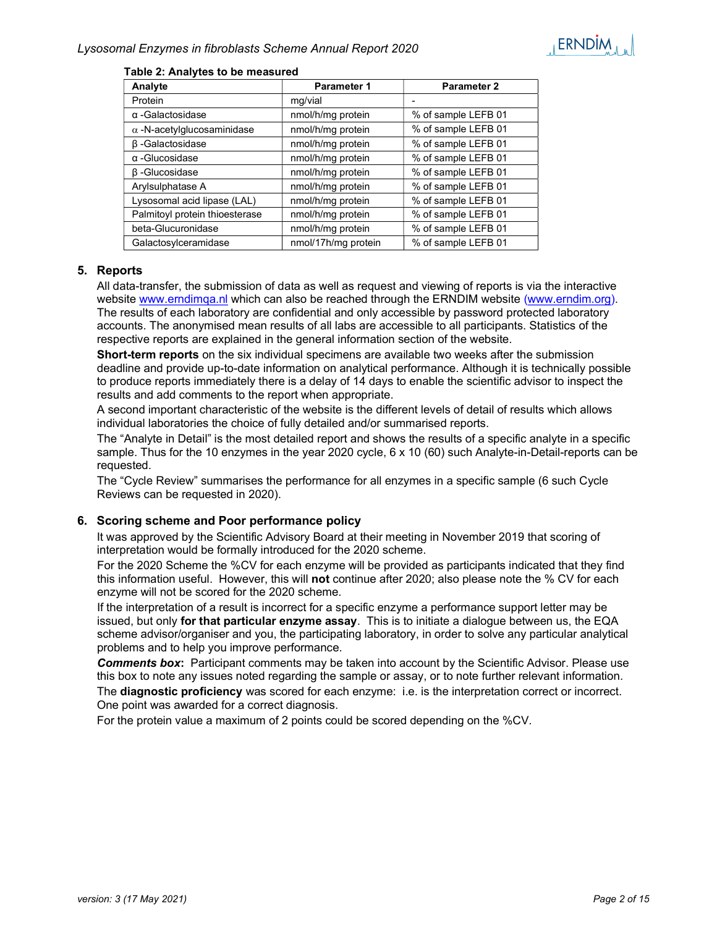| Analyte                           | <b>Parameter 1</b>  | <b>Parameter 2</b>  |
|-----------------------------------|---------------------|---------------------|
| Protein                           | mg/vial             |                     |
| $\alpha$ -Galactosidase           | nmol/h/mg protein   | % of sample LEFB 01 |
| $\alpha$ -N-acetylglucosaminidase | nmol/h/mg protein   | % of sample LEFB 01 |
| β-Galactosidase                   | nmol/h/mg protein   | % of sample LEFB 01 |
| $\alpha$ -Glucosidase             | nmol/h/mg protein   | % of sample LEFB 01 |
| $\beta$ -Glucosidase              | nmol/h/mg protein   | % of sample LEFB 01 |
| Arylsulphatase A                  | nmol/h/mg protein   | % of sample LEFB 01 |
| Lysosomal acid lipase (LAL)       | nmol/h/mg protein   | % of sample LEFB 01 |
| Palmitoyl protein thioesterase    | nmol/h/mg protein   | % of sample LEFB 01 |
| beta-Glucuronidase                | nmol/h/mg protein   | % of sample LEFB 01 |
| Galactosylceramidase              | nmol/17h/mg protein | % of sample LEFB 01 |

#### Table 2: Analytes to be measured

### 5. Reports

All data-transfer, the submission of data as well as request and viewing of reports is via the interactive website www.erndimqa.nl which can also be reached through the ERNDIM website (www.erndim.org). The results of each laboratory are confidential and only accessible by password protected laboratory accounts. The anonymised mean results of all labs are accessible to all participants. Statistics of the respective reports are explained in the general information section of the website.

Short-term reports on the six individual specimens are available two weeks after the submission deadline and provide up-to-date information on analytical performance. Although it is technically possible to produce reports immediately there is a delay of 14 days to enable the scientific advisor to inspect the results and add comments to the report when appropriate.

A second important characteristic of the website is the different levels of detail of results which allows individual laboratories the choice of fully detailed and/or summarised reports.

The "Analyte in Detail" is the most detailed report and shows the results of a specific analyte in a specific sample. Thus for the 10 enzymes in the year 2020 cycle, 6 x 10 (60) such Analyte-in-Detail-reports can be requested.

The "Cycle Review" summarises the performance for all enzymes in a specific sample (6 such Cycle Reviews can be requested in 2020).

### 6. Scoring scheme and Poor performance policy

It was approved by the Scientific Advisory Board at their meeting in November 2019 that scoring of interpretation would be formally introduced for the 2020 scheme.

For the 2020 Scheme the %CV for each enzyme will be provided as participants indicated that they find this information useful. However, this will not continue after 2020; also please note the % CV for each enzyme will not be scored for the 2020 scheme.

If the interpretation of a result is incorrect for a specific enzyme a performance support letter may be issued, but only for that particular enzyme assay. This is to initiate a dialogue between us, the EQA scheme advisor/organiser and you, the participating laboratory, in order to solve any particular analytical problems and to help you improve performance.

**Comments box:** Participant comments may be taken into account by the Scientific Advisor. Please use this box to note any issues noted regarding the sample or assay, or to note further relevant information.

The **diagnostic proficiency** was scored for each enzyme: i.e. is the interpretation correct or incorrect. One point was awarded for a correct diagnosis.

For the protein value a maximum of 2 points could be scored depending on the %CV.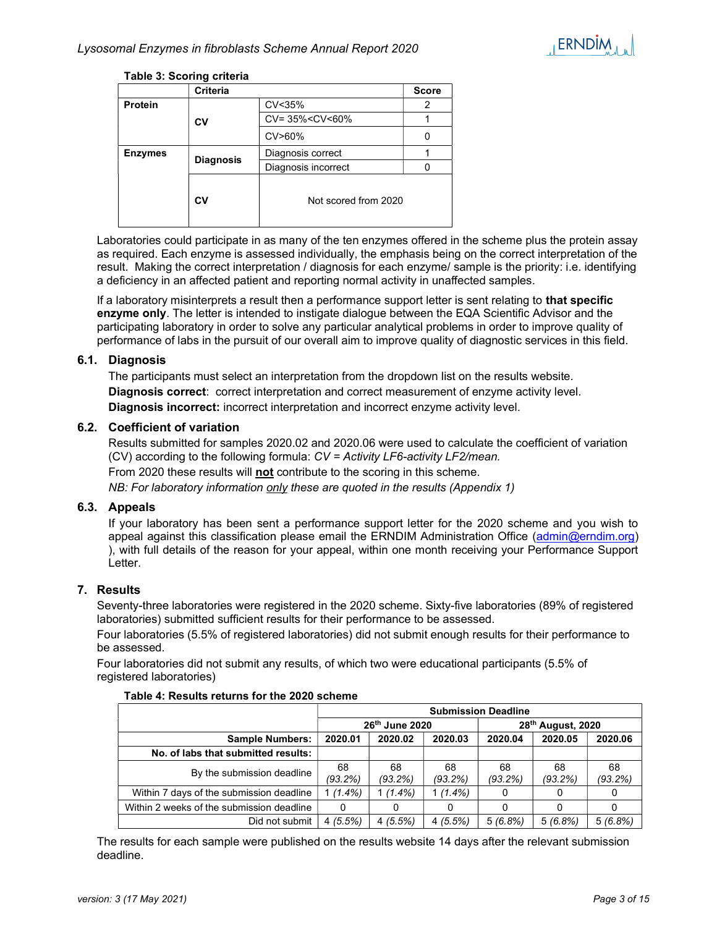

### Table 3: Scoring criteria

|                  | Criteria |                                            | <b>Score</b> |
|------------------|----------|--------------------------------------------|--------------|
| <b>Protein</b>   |          | CV<35%                                     |              |
|                  | CV       | CV= 35% <cv<60%< th=""><th></th></cv<60%<> |              |
|                  |          | CV>60%                                     |              |
| <b>Enzymes</b>   |          | Diagnosis correct                          |              |
| <b>Diagnosis</b> |          | Diagnosis incorrect                        |              |
|                  | Cν       | Not scored from 2020                       |              |

Laboratories could participate in as many of the ten enzymes offered in the scheme plus the protein assay as required. Each enzyme is assessed individually, the emphasis being on the correct interpretation of the result. Making the correct interpretation / diagnosis for each enzyme/ sample is the priority: i.e. identifying a deficiency in an affected patient and reporting normal activity in unaffected samples.

If a laboratory misinterprets a result then a performance support letter is sent relating to that specific enzyme only. The letter is intended to instigate dialogue between the EQA Scientific Advisor and the participating laboratory in order to solve any particular analytical problems in order to improve quality of performance of labs in the pursuit of our overall aim to improve quality of diagnostic services in this field.

### 6.1. Diagnosis

The participants must select an interpretation from the dropdown list on the results website. Diagnosis correct: correct interpretation and correct measurement of enzyme activity level. Diagnosis incorrect: incorrect interpretation and incorrect enzyme activity level.

### 6.2. Coefficient of variation

Results submitted for samples 2020.02 and 2020.06 were used to calculate the coefficient of variation (CV) according to the following formula: CV = Activity LF6-activity LF2/mean. From 2020 these results will not contribute to the scoring in this scheme.

NB: For laboratory information only these are quoted in the results (Appendix 1)

### 6.3. Appeals

If your laboratory has been sent a performance support letter for the 2020 scheme and you wish to appeal against this classification please email the ERNDIM Administration Office (admin@erndim.org) ), with full details of the reason for your appeal, within one month receiving your Performance Support Letter.

### 7. Results

Seventy-three laboratories were registered in the 2020 scheme. Sixty-five laboratories (89% of registered laboratories) submitted sufficient results for their performance to be assessed.

Four laboratories (5.5% of registered laboratories) did not submit enough results for their performance to be assessed.

Four laboratories did not submit any results, of which two were educational participants (5.5% of registered laboratories)

|                                           | <b>Submission Deadline</b> |                  |                               |               |               |               |
|-------------------------------------------|----------------------------|------------------|-------------------------------|---------------|---------------|---------------|
|                                           | 26th June 2020             |                  | 28 <sup>th</sup> August, 2020 |               |               |               |
| <b>Sample Numbers:</b>                    | 2020.01                    | 2020.02          | 2020.03                       | 2020.04       | 2020.05       | 2020.06       |
| No. of labs that submitted results:       |                            |                  |                               |               |               |               |
| By the submission deadline                | 68<br>$(93.2\%)$           | 68<br>$(93.2\%)$ | 68<br>(93.2%)                 | 68<br>(93.2%) | 68<br>(93.2%) | 68<br>(93.2%) |
| Within 7 days of the submission deadline  | $1(1.4\%)$                 | $(1.4\%)$        | $1(1.4\%)$                    |               | 0             | 0             |
| Within 2 weeks of the submission deadline | 0                          |                  | 0                             |               |               | 0             |
| Did not submit                            | 4(5.5%)                    | 4(5.5%)          | 4(5.5%)                       | 5(6.8%)       | 5(6.8%)       | 5(6.8%)       |

#### Table 4: Results returns for the 2020 scheme

The results for each sample were published on the results website 14 days after the relevant submission deadline.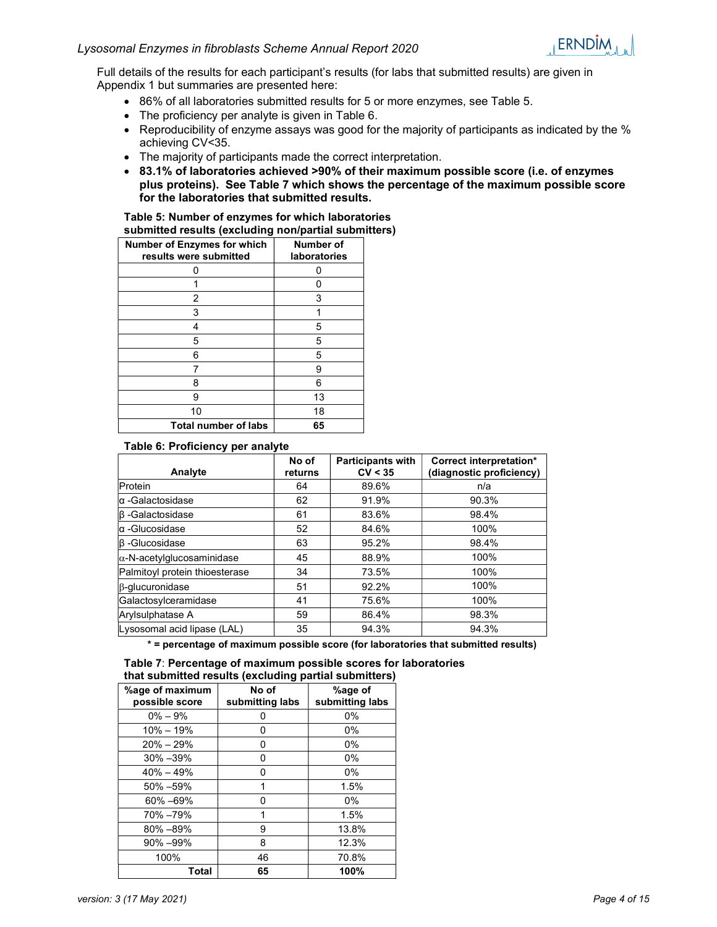

Full details of the results for each participant's results (for labs that submitted results) are given in Appendix 1 but summaries are presented here:

- 86% of all laboratories submitted results for 5 or more enzymes, see Table 5.
- The proficiency per analyte is given in Table 6.
- Reproducibility of enzyme assays was good for the majority of participants as indicated by the % achieving CV<35.
- The majority of participants made the correct interpretation.
- 83.1% of laboratories achieved >90% of their maximum possible score (i.e. of enzymes plus proteins). See Table 7 which shows the percentage of the maximum possible score for the laboratories that submitted results.

#### Table 5: Number of enzymes for which laboratories submitted results (excluding non/partial submitters)

| <b>Number of Enzymes for which</b><br>results were submitted | Number of<br><b>laboratories</b> |
|--------------------------------------------------------------|----------------------------------|
| 0                                                            | n                                |
|                                                              |                                  |
| 2                                                            | 3                                |
| 3                                                            | 1                                |
| 4                                                            | 5                                |
| 5                                                            | 5                                |
| 6                                                            | 5                                |
| 7                                                            | 9                                |
| 8                                                            | 6                                |
| 9                                                            | 13                               |
| 10                                                           | 18                               |
| <b>Total number of labs</b>                                  | 65                               |

### Table 6: Proficiency per analyte

| Analyte                            | No of<br>returns | <b>Participants with</b><br>CV < 35 | Correct interpretation*<br>(diagnostic proficiency) |
|------------------------------------|------------------|-------------------------------------|-----------------------------------------------------|
| Protein                            | 64               | 89.6%                               | n/a                                                 |
| lα -Galactosidase                  | 62               | 91.9%                               | 90.3%                                               |
| $ \beta$ -Galactosidase            | 61               | 83.6%                               | 98.4%                                               |
| lα -Glucosidase                    | 52               | 84.6%                               | 100%                                                |
| $\beta$ -Glucosidase               | 63               | 95.2%                               | 98.4%                                               |
| $ \alpha$ -N-acetylglucosaminidase | 45               | 88.9%                               | 100%                                                |
| Palmitoyl protein thioesterase     | 34               | 73.5%                               | 100%                                                |
| β-qlucuronidase                    | 51               | 92.2%                               | 100%                                                |
| Galactosylceramidase               | 41               | 75.6%                               | 100%                                                |
| Arylsulphatase A                   | 59               | 86.4%                               | 98.3%                                               |
| Lysosomal acid lipase (LAL)        | 35               | 94.3%                               | 94.3%                                               |

\* = percentage of maximum possible score (for laboratories that submitted results)

| that submitted results (excluding partial submitters) |                          |                            |  |  |
|-------------------------------------------------------|--------------------------|----------------------------|--|--|
| %age of maximum<br>possible score                     | No of<br>submitting labs | %age of<br>submitting labs |  |  |
| $0\% - 9\%$                                           |                          | $0\%$                      |  |  |
| $10\% - 19\%$                                         | 0                        | $0\%$                      |  |  |
| $20\% - 29\%$                                         |                          | $0\%$                      |  |  |
| $30\% - 39\%$                                         | O                        | $0\%$                      |  |  |
| $40\% - 49\%$                                         |                          | $0\%$                      |  |  |
| 50% - 59%                                             |                          | 1.5%                       |  |  |
| 60% -69%                                              | O                        | $0\%$                      |  |  |
| 70% -79%                                              |                          | 1.5%                       |  |  |
| $80\% - 89\%$                                         | 9                        | 13.8%                      |  |  |
| 90% -99%                                              | 8                        | 12.3%                      |  |  |
| 100%                                                  | 46                       | 70.8%                      |  |  |
| Total                                                 | 65                       | 100%                       |  |  |

| Table 7: Percentage of maximum possible scores for laboratories |  |
|-----------------------------------------------------------------|--|
| that submitted results (excluding partial submitters)           |  |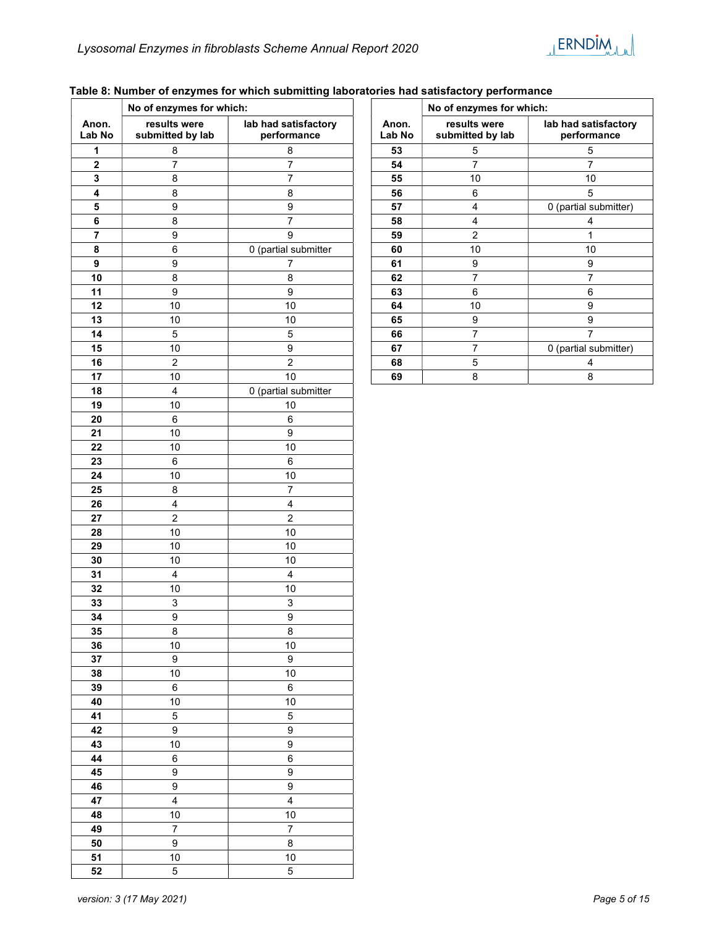### Table 8: Number of enzymes for which submitting laboratories had satisfactory performance

|                 | No of enzymes for which:         |                                     |  |  |
|-----------------|----------------------------------|-------------------------------------|--|--|
| Anon.<br>Lab No | results were<br>submitted by lab | lab had satisfactory<br>performance |  |  |
| 1               | 8                                | 8                                   |  |  |
| $\mathbf 2$     | 7                                | 7                                   |  |  |
| 3               | 8                                | 7                                   |  |  |
| 4               | 8                                | 8                                   |  |  |
| 5               | 9                                | 9                                   |  |  |
| 6               | 8                                | 7                                   |  |  |
| 7               | 9                                | 9                                   |  |  |
| 8               | 6                                | 0 (partial submitter                |  |  |
| 9               | 9                                | 7                                   |  |  |
| 10              | 8                                | 8                                   |  |  |
| 11              | 9                                | 9                                   |  |  |
| 12              | 10                               | 10                                  |  |  |
| 13              |                                  | 10                                  |  |  |
|                 | 10                               |                                     |  |  |
| 14              | 5                                | 5                                   |  |  |
| 15              | 10                               | 9                                   |  |  |
| 16              | $\overline{c}$                   | $\overline{2}$                      |  |  |
| 17              | 10                               | 10                                  |  |  |
| 18              | 4                                | 0 (partial submitter                |  |  |
| 19              | 10                               | 10                                  |  |  |
| 20              | 6                                | 6                                   |  |  |
| 21              | 10                               | 9                                   |  |  |
| 22              | 10                               | 10                                  |  |  |
| 23              | 6                                | 6                                   |  |  |
| 24              | 10                               | 10                                  |  |  |
| 25              | 8                                | 7                                   |  |  |
| 26              | $\overline{4}$                   | 4                                   |  |  |
| 27              | $\overline{c}$                   | $\overline{c}$                      |  |  |
| 28              | 10                               | 10                                  |  |  |
| 29              | 10                               | 10                                  |  |  |
| 30              | 10                               | 10                                  |  |  |
| 31              | 4                                | 4                                   |  |  |
| 32              | 10                               | 10                                  |  |  |
| 33              | 3                                | 3                                   |  |  |
| 34              | 9                                | 9                                   |  |  |
| 35              | 8                                | 8                                   |  |  |
| 36              | 10                               | 10                                  |  |  |
| 37              | 9                                | 9                                   |  |  |
| 38              | 10                               | 10                                  |  |  |
| 39              | 6                                | 6                                   |  |  |
| 40              | 10                               | 10                                  |  |  |
| 41              | 5                                | 5                                   |  |  |
| 42              | 9                                | 9                                   |  |  |
| 43              | 10                               | 9                                   |  |  |
| 44              |                                  |                                     |  |  |
|                 | 6                                | 6                                   |  |  |
| 45              | 9                                | 9                                   |  |  |
| 46              | 9                                | 9                                   |  |  |
| 47              | 4                                | 4                                   |  |  |
| 48              | 10                               | 10                                  |  |  |
| 49              | 7                                | 7                                   |  |  |
| 50              | $\overline{9}$                   | 8                                   |  |  |
| 51              | 10                               | 10                                  |  |  |
| 52              | 5                                | 5                                   |  |  |

|                 | No of enzymes for which:         |                                     |  |  |
|-----------------|----------------------------------|-------------------------------------|--|--|
| Anon.<br>Lab No | results were<br>submitted by lab | lab had satisfactory<br>performance |  |  |
| 53              | 5                                | 5                                   |  |  |
| 54              | 7                                | 7                                   |  |  |
| 55              | 10                               | 10                                  |  |  |
| 56              | 6                                | 5                                   |  |  |
| 57              | 4                                | 0 (partial submitter)               |  |  |
| 58              | 4                                | 4                                   |  |  |
| 59              | 2                                | 1                                   |  |  |
| 60              | 10                               | 10                                  |  |  |
| 61              | 9                                | 9                                   |  |  |
| 62              | 7                                | 7                                   |  |  |
| 63              | 6                                | 6                                   |  |  |
| 64              | 10                               | 9                                   |  |  |
| 65              | 9                                | 9                                   |  |  |
| 66              | 7                                | 7                                   |  |  |
| 67              | 7                                | 0 (partial submitter)               |  |  |
| 68              | 5                                | 4                                   |  |  |
| 69              | 8                                | 8                                   |  |  |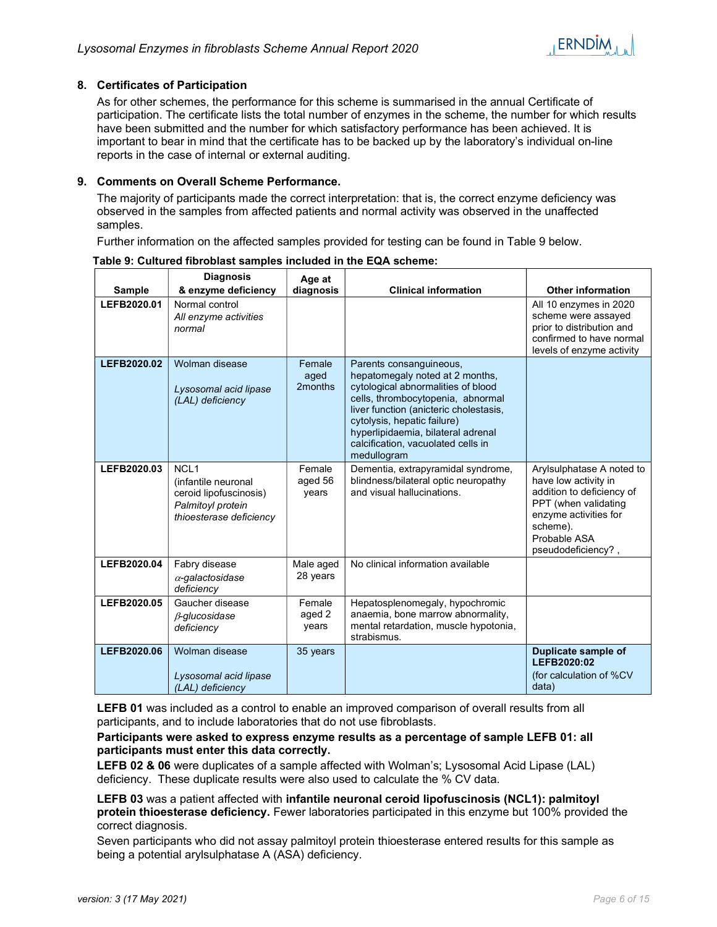### 8. Certificates of Participation

As for other schemes, the performance for this scheme is summarised in the annual Certificate of participation. The certificate lists the total number of enzymes in the scheme, the number for which results have been submitted and the number for which satisfactory performance has been achieved. It is important to bear in mind that the certificate has to be backed up by the laboratory's individual on-line reports in the case of internal or external auditing.

### 9. Comments on Overall Scheme Performance.

The majority of participants made the correct interpretation: that is, the correct enzyme deficiency was observed in the samples from affected patients and normal activity was observed in the unaffected samples.

Further information on the affected samples provided for testing can be found in Table 9 below.

|               | <b>Diagnosis</b>                                                                                                  | Age at                     |                                                                                                                                                                                                                                                                                                           |                                                                                                                                                                                   |
|---------------|-------------------------------------------------------------------------------------------------------------------|----------------------------|-----------------------------------------------------------------------------------------------------------------------------------------------------------------------------------------------------------------------------------------------------------------------------------------------------------|-----------------------------------------------------------------------------------------------------------------------------------------------------------------------------------|
| <b>Sample</b> | & enzyme deficiency                                                                                               | diagnosis                  | <b>Clinical information</b>                                                                                                                                                                                                                                                                               | <b>Other information</b>                                                                                                                                                          |
| LEFB2020.01   | Normal control<br>All enzyme activities<br>normal                                                                 |                            |                                                                                                                                                                                                                                                                                                           | All 10 enzymes in 2020<br>scheme were assayed<br>prior to distribution and<br>confirmed to have normal<br>levels of enzyme activity                                               |
| LEFB2020.02   | Wolman disease<br>Lysosomal acid lipase<br>(LAL) deficiency                                                       | Female<br>aged<br>2months  | Parents consanguineous,<br>hepatomegaly noted at 2 months,<br>cytological abnormalities of blood<br>cells, thrombocytopenia, abnormal<br>liver function (anicteric cholestasis,<br>cytolysis, hepatic failure)<br>hyperlipidaemia, bilateral adrenal<br>calcification, vacuolated cells in<br>medullogram |                                                                                                                                                                                   |
| LEFB2020.03   | NCL <sub>1</sub><br>(infantile neuronal<br>ceroid lipofuscinosis)<br>Palmitoyl protein<br>thioesterase deficiency | Female<br>aged 56<br>years | Dementia, extrapyramidal syndrome,<br>blindness/bilateral optic neuropathy<br>and visual hallucinations.                                                                                                                                                                                                  | Arylsulphatase A noted to<br>have low activity in<br>addition to deficiency of<br>PPT (when validating<br>enzyme activities for<br>scheme).<br>Probable ASA<br>pseudodeficiency?, |
| LEFB2020.04   | Fabry disease<br>$\alpha$ -galactosidase<br>deficiency                                                            | Male aged<br>28 years      | No clinical information available                                                                                                                                                                                                                                                                         |                                                                                                                                                                                   |
| LEFB2020.05   | Gaucher disease<br>$\beta$ -glucosidase<br>deficiency                                                             | Female<br>aged 2<br>years  | Hepatosplenomegaly, hypochromic<br>anaemia, bone marrow abnormality,<br>mental retardation, muscle hypotonia,<br>strabismus.                                                                                                                                                                              |                                                                                                                                                                                   |
| LEFB2020.06   | Wolman disease<br>Lysosomal acid lipase<br>(LAL) deficiency                                                       | 35 years                   |                                                                                                                                                                                                                                                                                                           | Duplicate sample of<br>LEFB2020:02<br>(for calculation of %CV<br>data)                                                                                                            |

Table 9: Cultured fibroblast samples included in the EQA scheme:

LEFB 01 was included as a control to enable an improved comparison of overall results from all participants, and to include laboratories that do not use fibroblasts.

### Participants were asked to express enzyme results as a percentage of sample LEFB 01: all participants must enter this data correctly.

LEFB 02 & 06 were duplicates of a sample affected with Wolman's; Lysosomal Acid Lipase (LAL) deficiency. These duplicate results were also used to calculate the % CV data.

LEFB 03 was a patient affected with infantile neuronal ceroid lipofuscinosis (NCL1): palmitoyl protein thioesterase deficiency. Fewer laboratories participated in this enzyme but 100% provided the correct diagnosis.

Seven participants who did not assay palmitoyl protein thioesterase entered results for this sample as being a potential arylsulphatase A (ASA) deficiency.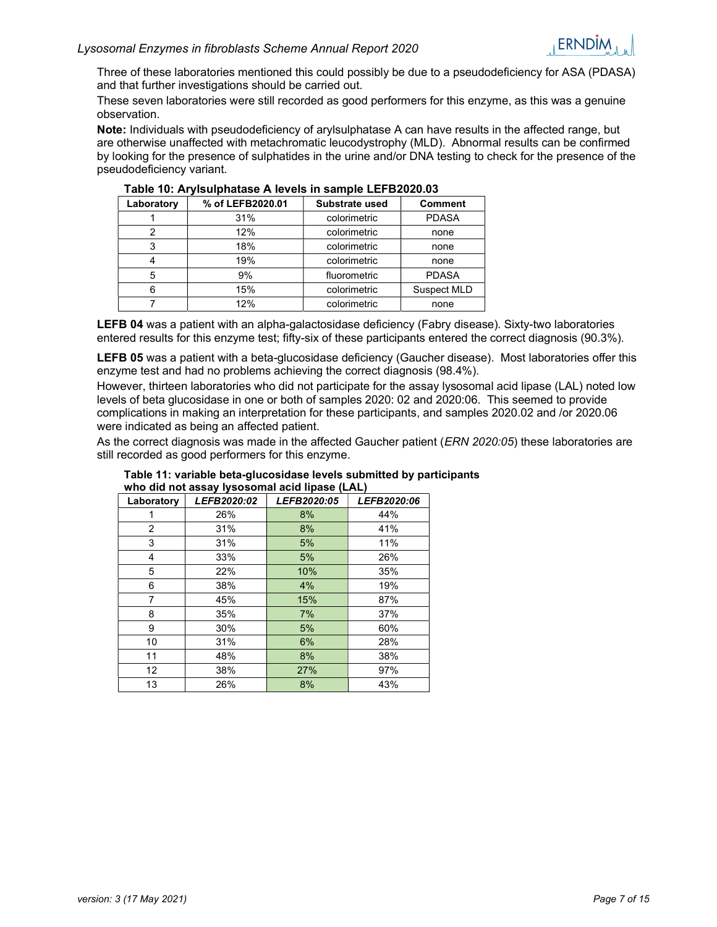Three of these laboratories mentioned this could possibly be due to a pseudodeficiency for ASA (PDASA) and that further investigations should be carried out.

These seven laboratories were still recorded as good performers for this enzyme, as this was a genuine observation.

Note: Individuals with pseudodeficiency of arylsulphatase A can have results in the affected range, but are otherwise unaffected with metachromatic leucodystrophy (MLD). Abnormal results can be confirmed by looking for the presence of sulphatides in the urine and/or DNA testing to check for the presence of the pseudodeficiency variant.

| Laboratory | % of LEFB2020.01 | Substrate used | <b>Comment</b> |
|------------|------------------|----------------|----------------|
|            | 31%              | colorimetric   | <b>PDASA</b>   |
| 2          | 12%              | colorimetric   | none           |
|            | 18%              | colorimetric   | none           |
|            | 19%              | colorimetric   | none           |
| 5          | 9%               | fluorometric   | <b>PDASA</b>   |
| հ          | 15%              | colorimetric   | Suspect MLD    |
|            | 12%              | colorimetric   | none           |

| Table 10: Arylsulphatase A levels in sample LEFB2020.03 |  |  |
|---------------------------------------------------------|--|--|
|                                                         |  |  |

LEFB 04 was a patient with an alpha-galactosidase deficiency (Fabry disease). Sixty-two laboratories entered results for this enzyme test; fifty-six of these participants entered the correct diagnosis (90.3%).

LEFB 05 was a patient with a beta-glucosidase deficiency (Gaucher disease). Most laboratories offer this enzyme test and had no problems achieving the correct diagnosis (98.4%).

However, thirteen laboratories who did not participate for the assay lysosomal acid lipase (LAL) noted low levels of beta glucosidase in one or both of samples 2020: 02 and 2020:06. This seemed to provide complications in making an interpretation for these participants, and samples 2020.02 and /or 2020.06 were indicated as being an affected patient.

As the correct diagnosis was made in the affected Gaucher patient (*ERN 2020:05*) these laboratories are still recorded as good performers for this enzyme.

| Laboratory        | LEFB2020:02 | LEFB2020:05 | LEFB2020:06 |
|-------------------|-------------|-------------|-------------|
| 1                 | 26%         | 8%          | 44%         |
| 2                 | 31%         | 8%          | 41%         |
| 3                 | 31%         | 5%          | 11%         |
| 4                 | 33%         | 5%          | 26%         |
| 5                 | 22%         | 10%         | 35%         |
| 6                 | 38%         | 4%          | 19%         |
| 7                 | 45%         | 15%         | 87%         |
| 8                 | 35%         | 7%          | 37%         |
| 9                 | 30%         | 5%          | 60%         |
| 10                | 31%         | 6%          | 28%         |
| 11                | 48%         | 8%          | 38%         |
| $12 \overline{ }$ | 38%         | 27%         | 97%         |
| 13                | 26%         | 8%          | 43%         |

### Table 11: variable beta-glucosidase levels submitted by participants who did not assay lysosomal acid lipase (LAL)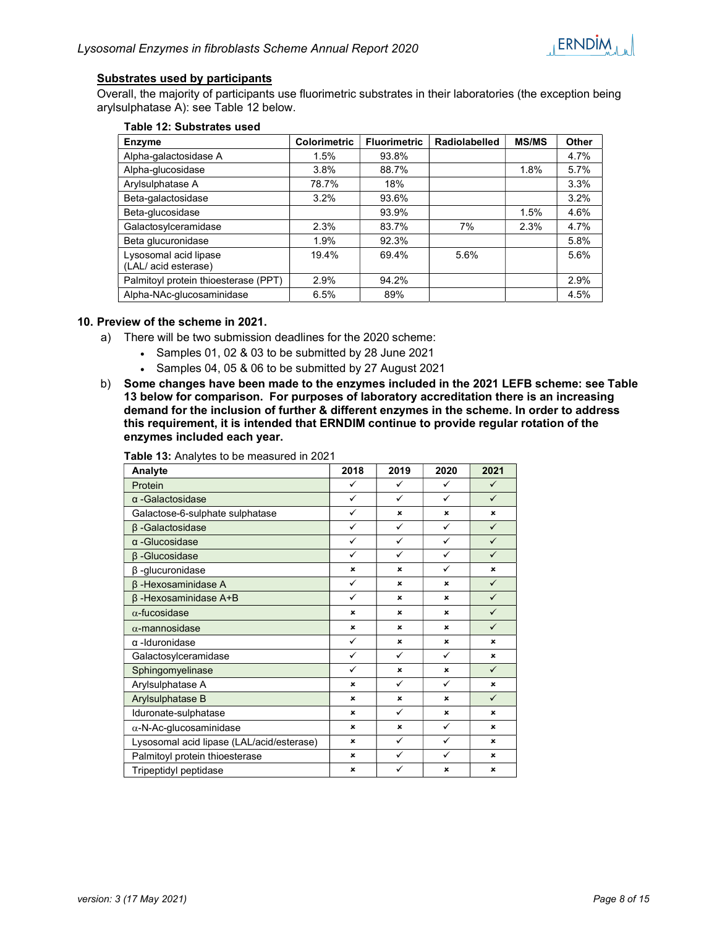

### Substrates used by participants

Overall, the majority of participants use fluorimetric substrates in their laboratories (the exception being arylsulphatase A): see Table 12 below.

| 1 GDIG 14. OGDJUGIO GJGG                     |                     |                     |                      |              |       |
|----------------------------------------------|---------------------|---------------------|----------------------|--------------|-------|
| <b>Enzyme</b>                                | <b>Colorimetric</b> | <b>Fluorimetric</b> | <b>Radiolabelled</b> | <b>MS/MS</b> | Other |
| Alpha-galactosidase A                        | 1.5%                | 93.8%               |                      |              | 4.7%  |
| Alpha-glucosidase                            | 3.8%                | 88.7%               |                      | 1.8%         | 5.7%  |
| Arylsulphatase A                             | 78.7%               | 18%                 |                      |              | 3.3%  |
| Beta-galactosidase                           | 3.2%                | 93.6%               |                      |              | 3.2%  |
| Beta-glucosidase                             |                     | 93.9%               |                      | 1.5%         | 4.6%  |
| Galactosylceramidase                         | 2.3%                | 83.7%               | 7%                   | 2.3%         | 4.7%  |
| Beta glucuronidase                           | 1.9%                | 92.3%               |                      |              | 5.8%  |
| Lysosomal acid lipase<br>(LAL/acid esterase) | 19.4%               | 69.4%               | 5.6%                 |              | 5.6%  |
| Palmitoyl protein thioesterase (PPT)         | 2.9%                | 94.2%               |                      |              | 2.9%  |
| Alpha-NAc-glucosaminidase                    | 6.5%                | 89%                 |                      |              | 4.5%  |

#### Table 12: Substrates used

### 10. Preview of the scheme in 2021.

- a) There will be two submission deadlines for the 2020 scheme:
	- Samples 01, 02 & 03 to be submitted by 28 June 2021
	- Samples 04, 05 & 06 to be submitted by 27 August 2021
- b) Some changes have been made to the enzymes included in the 2021 LEFB scheme: see Table 13 below for comparison. For purposes of laboratory accreditation there is an increasing demand for the inclusion of further & different enzymes in the scheme. In order to address this requirement, it is intended that ERNDIM continue to provide regular rotation of the enzymes included each year.

| <b>Table 13:</b> Analytes to be measured in 2021 |  |  |
|--------------------------------------------------|--|--|
|--------------------------------------------------|--|--|

| Analyte                                   | 2018           | 2019         | 2020         | 2021           |
|-------------------------------------------|----------------|--------------|--------------|----------------|
| Protein                                   | ✓              | ✓            | ✓            | $\checkmark$   |
| $\alpha$ -Galactosidase                   | $\checkmark$   | ✓            | $\checkmark$ | $\checkmark$   |
| Galactose-6-sulphate sulphatase           | $\checkmark$   | ×            | $\mathbf{x}$ | $\mathbf x$    |
| β-Galactosidase                           | $\checkmark$   | ✓            | $\checkmark$ | $\checkmark$   |
| α-Glucosidase                             | $\checkmark$   | $\checkmark$ | $\checkmark$ | $\checkmark$   |
| $\beta$ -Glucosidase                      | ✓              | ✓            | $\checkmark$ | $\checkmark$   |
| $\beta$ -glucuronidase                    | $\pmb{\times}$ | ×            | ✓            | $\pmb{\times}$ |
| $\beta$ -Hexosaminidase A                 | $\checkmark$   | ×            | $\mathbf x$  | $\checkmark$   |
| $\beta$ -Hexosaminidase A+B               | ✓              | ×            | $\mathbf{x}$ | $\checkmark$   |
| $\alpha$ -fucosidase                      | $\mathbf x$    | ×            | $\mathbf x$  | $\checkmark$   |
| $\alpha$ -mannosidase                     | $\mathbf x$    | ×            | $\mathbf x$  | $\checkmark$   |
| $\alpha$ -Iduronidase                     | $\checkmark$   | ×            | $\mathbf x$  | $\mathbf x$    |
| Galactosylceramidase                      | $\checkmark$   | ✓            | ✓            | $\mathbf x$    |
| Sphingomyelinase                          | ✓              | ×            | $\mathbf{x}$ | $\checkmark$   |
| Arylsulphatase A                          | $\mathbf x$    | ✓            | $\checkmark$ | $\mathbf x$    |
| Arylsulphatase B                          | $\mathbf x$    | ×            | $\mathbf x$  | $\checkmark$   |
| Iduronate-sulphatase                      | $\mathbf x$    | $\checkmark$ | ×            | $\mathbf x$    |
| $\alpha$ -N-Ac-glucosaminidase            | $\mathbf x$    | ×            | ✓            | ×              |
| Lysosomal acid lipase (LAL/acid/esterase) | $\mathbf x$    | ✓            | $\checkmark$ | $\mathbf x$    |
| Palmitoyl protein thioesterase            | $\mathbf x$    | ✓            | $\checkmark$ | $\mathbf x$    |
| Tripeptidyl peptidase                     | $\mathbf x$    | ✓            | ×            | ×              |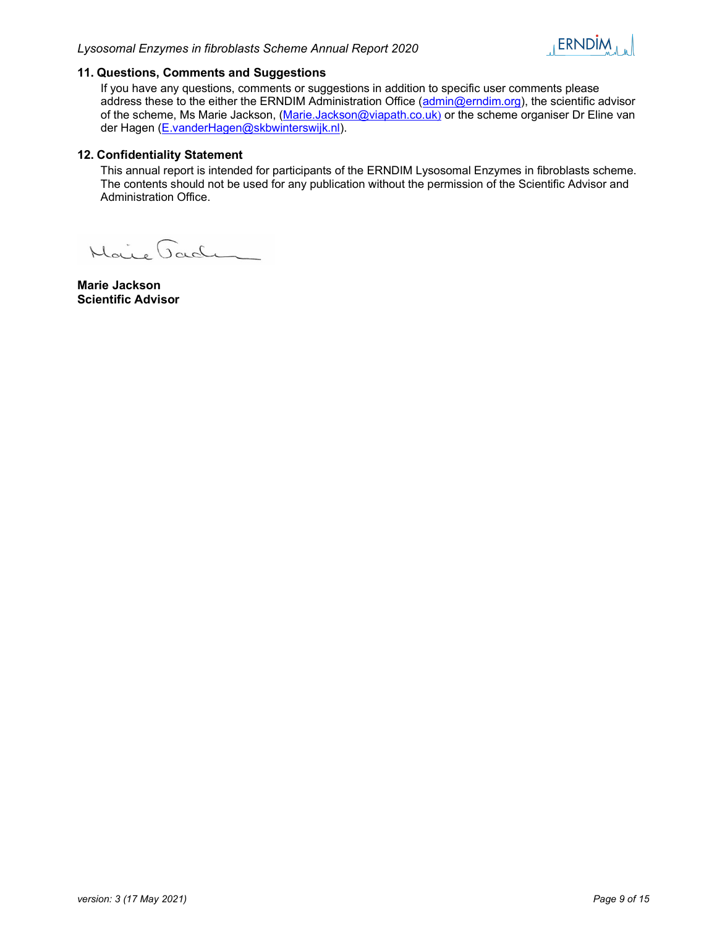

### 11. Questions, Comments and Suggestions

If you have any questions, comments or suggestions in addition to specific user comments please address these to the either the ERNDIM Administration Office (admin@erndim.org), the scientific advisor of the scheme, Ms Marie Jackson, (Marie.Jackson@viapath.co.uk) or the scheme organiser Dr Eline van der Hagen (E.vanderHagen@skbwinterswijk.nl).

### 12. Confidentiality Statement

This annual report is intended for participants of the ERNDIM Lysosomal Enzymes in fibroblasts scheme. The contents should not be used for any publication without the permission of the Scientific Advisor and Administration Office.

Maire Jaden

Marie Jackson Scientific Advisor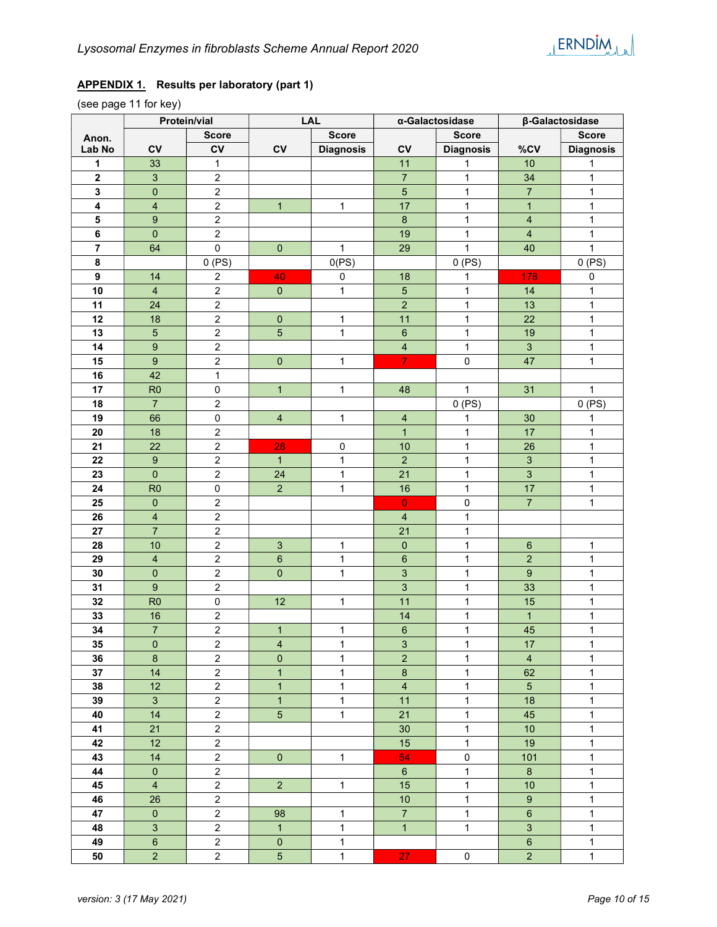

## APPENDIX 1. Results per laboratory (part 1)

(see page 11 for key)

|                |                         | Protein/vial            |                         | <b>LAL</b>       |                           | α-Galactosidase  |                         | β-Galactosidase  |  |
|----------------|-------------------------|-------------------------|-------------------------|------------------|---------------------------|------------------|-------------------------|------------------|--|
| Anon.          |                         | <b>Score</b>            |                         | <b>Score</b>     |                           | <b>Score</b>     |                         | <b>Score</b>     |  |
| Lab No         | CV                      | CV                      | CV                      | <b>Diagnosis</b> | CV                        | <b>Diagnosis</b> | %CV                     | <b>Diagnosis</b> |  |
| 1              | 33                      | 1                       |                         |                  | 11                        | 1                | $10$                    | 1                |  |
| $\mathbf{2}$   | $\mathfrak{S}$          | $\overline{c}$          |                         |                  | $\overline{7}$            | $\mathbf{1}$     | 34                      | $\mathbf{1}$     |  |
| 3              | $\pmb{0}$               | $\overline{2}$          |                         |                  | $\overline{5}$            | $\mathbf{1}$     | $\overline{7}$          | $\mathbf{1}$     |  |
| 4              | $\overline{\mathbf{4}}$ | $\overline{2}$          | $\overline{1}$          | $\mathbf{1}$     | 17                        | $\mathbf{1}$     | $\mathbf{1}$            | $\mathbf{1}$     |  |
| 5              | $\boldsymbol{9}$        | $\overline{2}$          |                         |                  | $\, 8$                    | $\mathbf{1}$     | $\overline{\mathbf{4}}$ | $\mathbf{1}$     |  |
| $\bf 6$        | $\pmb{0}$               | $\overline{c}$          |                         |                  | 19                        | $\mathbf{1}$     | $\overline{\mathbf{4}}$ | $\mathbf{1}$     |  |
| $\overline{7}$ | 64                      | $\mathsf{O}\xspace$     | $\pmb{0}$               | $\mathbf{1}$     | 29                        | $\mathbf{1}$     | 40                      | $\mathbf{1}$     |  |
| 8              |                         | 0(PS)                   |                         | 0(PS)            |                           | 0(PS)            |                         | 0(PS)            |  |
| 9              | 14                      | $\boldsymbol{2}$        | 40                      | $\pmb{0}$        | 18                        | 1                | 178                     | $\pmb{0}$        |  |
| 10             | $\overline{4}$          | $\overline{c}$          | $\pmb{0}$               | $\mathbf{1}$     | $\overline{5}$            | $\mathbf{1}$     | 14                      | 1                |  |
| 11             | 24                      | $\boldsymbol{2}$        |                         |                  | $\overline{2}$            | $\mathbf{1}$     | 13                      | $\mathbf{1}$     |  |
| 12             | 18                      | $\overline{c}$          | $\pmb{0}$               | $\mathbf 1$      | 11                        | $\mathbf{1}$     | 22                      | $\mathbf{1}$     |  |
| 13             | $5\overline{)}$         | $\mathbf 2$             | $\sqrt{5}$              | $\mathbf{1}$     | $\,6\,$                   | $\mathbf{1}$     | 19                      | $\mathbf{1}$     |  |
| 14             | $\boldsymbol{9}$        | $\sqrt{2}$              |                         |                  | $\overline{\mathbf{4}}$   | $\mathbf{1}$     | $\mathfrak{S}$          | $\mathbf{1}$     |  |
| 15             | $\boldsymbol{9}$        | $\mathbf 2$             | $\pmb{0}$               | $\mathbf{1}$     | $\overline{7}$            | $\pmb{0}$        | 47                      | $\mathbf{1}$     |  |
| 16             | 42                      | $\mathbf{1}$            |                         |                  |                           |                  |                         |                  |  |
| 17             | R <sub>0</sub>          | $\mathsf 0$             | $\mathbf{1}$            | $\mathbf{1}$     | 48                        | $\mathbf{1}$     | 31                      | $\mathbf{1}$     |  |
| 18             | $\overline{7}$          | $\overline{c}$          |                         |                  |                           | 0(PS)            |                         | 0(PS)            |  |
| 19             | 66                      | $\mathbf 0$             | $\overline{\mathbf{4}}$ | $\mathbf{1}$     | $\overline{\mathbf{4}}$   | 1                | 30                      | 1                |  |
| 20             | 18                      | $\boldsymbol{2}$        |                         |                  | $\mathbf{1}$              | $\mathbf{1}$     | 17                      | $\mathbf{1}$     |  |
| 21             | 22                      | $\mathbf 2$             | 28                      | 0                | 10                        | $\mathbf{1}$     | 26                      | $\mathbf{1}$     |  |
| 22             | $\boldsymbol{9}$        | $\boldsymbol{2}$        | $\mathbf{1}$            | $\mathbf{1}$     | $\overline{2}$            | $\mathbf{1}$     | $\mathbf{3}$            | $\mathbf{1}$     |  |
| 23             | $\pmb{0}$               | $\overline{2}$          | 24                      | $\mathbf{1}$     | 21                        | $\mathbf{1}$     | $\mathbf{3}$            | $\mathbf{1}$     |  |
| 24             | R <sub>0</sub>          | $\pmb{0}$               | $\overline{2}$          | $\mathbf{1}$     | 16                        | $\mathbf{1}$     | 17                      | $\mathbf{1}$     |  |
| 25             | $\mathbf{0}$            | $\overline{\mathbf{c}}$ |                         |                  | $\overline{0}$            | 0                | $\overline{7}$          | $\mathbf{1}$     |  |
| 26             | $\overline{4}$          | $\overline{c}$          |                         |                  | $\overline{4}$            | 1                |                         |                  |  |
| 27             | $\overline{7}$          | $\overline{c}$          |                         |                  | 21                        | $\mathbf{1}$     |                         |                  |  |
| 28             | 10                      | $\overline{c}$          | $\sqrt{3}$              | 1                | $\mathbf 0$               | $\mathbf{1}$     | $6\phantom{1}$          | 1                |  |
| 29             | $\overline{4}$          | $\overline{c}$          | $\,6\,$                 | 1                | $\,6\,$                   | $\mathbf{1}$     | $\overline{a}$          | $\mathbf{1}$     |  |
| 30             | $\pmb{0}$               | $\overline{c}$          | $\pmb{0}$               | $\mathbf{1}$     | $\overline{3}$            | $\mathbf{1}$     | $\boldsymbol{9}$        | $\mathbf{1}$     |  |
| 31             | $\boldsymbol{9}$        | $\overline{c}$          |                         |                  | $\overline{3}$            | $\mathbf{1}$     | 33                      | $\mathbf{1}$     |  |
| 32             | R <sub>0</sub>          | $\pmb{0}$               | 12                      | $\mathbf{1}$     | 11                        | $\mathbf{1}$     | 15                      | $\mathbf{1}$     |  |
| 33             | 16                      | $\overline{c}$          |                         |                  | 14                        | $\mathbf{1}$     | $\mathbf{1}$            | $\mathbf{1}$     |  |
| 34             | $\overline{7}$          | $\overline{c}$          | $\mathbf{1}$            | $\mathbf{1}$     | 6                         | $\mathbf{1}$     | 45                      | $\mathbf{1}$     |  |
| 35             | $\mathbf{0}$            | $\overline{c}$          | $\overline{4}$          | 1                | $\ensuremath{\mathsf{3}}$ | $\mathbf{1}$     | 17                      | 1                |  |
| 36             | $\boldsymbol{8}$        | $\overline{2}$          | $\pmb{0}$               | $\mathbf{1}$     | $\overline{2}$            | $\mathbf{1}$     | $\overline{4}$          | $\mathbf{1}$     |  |
| 37             | 14                      | $\overline{a}$          | $\mathbf{1}$            | $\mathbf{1}$     | $\bf{8}$                  | $\mathbf{1}$     | 62                      | $\mathbf{1}$     |  |
| 38             | 12                      | $\overline{c}$          | $\overline{1}$          | $\mathbf{1}$     | $\overline{4}$            | $\mathbf{1}$     | 5 <sup>5</sup>          | $\mathbf 1$      |  |
| 39             | $\mathbf{3}$            | $\overline{2}$          | $\mathbf{1}$            | $\mathbf{1}$     | 11                        | $\mathbf{1}$     | 18                      | $\mathbf{1}$     |  |
| 40             | 14                      | $\overline{c}$          | $\overline{5}$          | $\mathbf{1}$     | 21                        | $\mathbf{1}$     | 45                      | $\mathbf{1}$     |  |
| 41             | 21                      | $\overline{2}$          |                         |                  | 30                        | $\mathbf{1}$     | 10                      | $\mathbf{1}$     |  |
| 42             | 12                      | $\overline{c}$          |                         |                  | 15                        | $\mathbf{1}$     | 19                      | $\mathbf{1}$     |  |
| 43             | 14                      | $\overline{c}$          | $\mathbf 0$             | $\mathbf{1}$     | 54                        | 0                | 101                     | $\mathbf{1}$     |  |
| 44             | $\mathbf 0$             | $\overline{a}$          |                         |                  | $\,$ 6 $\,$               | $\mathbf{1}$     | $8\phantom{1}$          | 1                |  |
| 45             | $\overline{4}$          | $\overline{c}$          | $\overline{2}$          | $\mathbf{1}$     | 15                        | $\mathbf{1}$     | 10                      | $\mathbf{1}$     |  |
| 46             | 26                      | $\overline{a}$          |                         |                  | $10$                      | 1                | $9\,$                   | $\mathbf{1}$     |  |
| 47             | $\pmb{0}$               | $\overline{c}$          | 98                      | $\mathbf{1}$     | $\overline{7}$            | $\mathbf{1}$     | $\,6\,$                 | $\mathbf{1}$     |  |
| 48             | $\mathbf{3}$            | $\overline{c}$          | $\overline{1}$          | $\mathbf{1}$     | $\overline{1}$            | $\mathbf{1}$     | 3                       | $\mathbf{1}$     |  |
| 49             | $\,6\,$                 | $\overline{a}$          | $\pmb{0}$               | $\mathbf{1}$     |                           |                  | $\boldsymbol{6}$        | 1                |  |
| 50             | $\overline{2}$          | $\overline{a}$          | $5\phantom{.0}$         | $\mathbf{1}$     | 27                        | 0                | $\overline{2}$          | $\mathbf 1$      |  |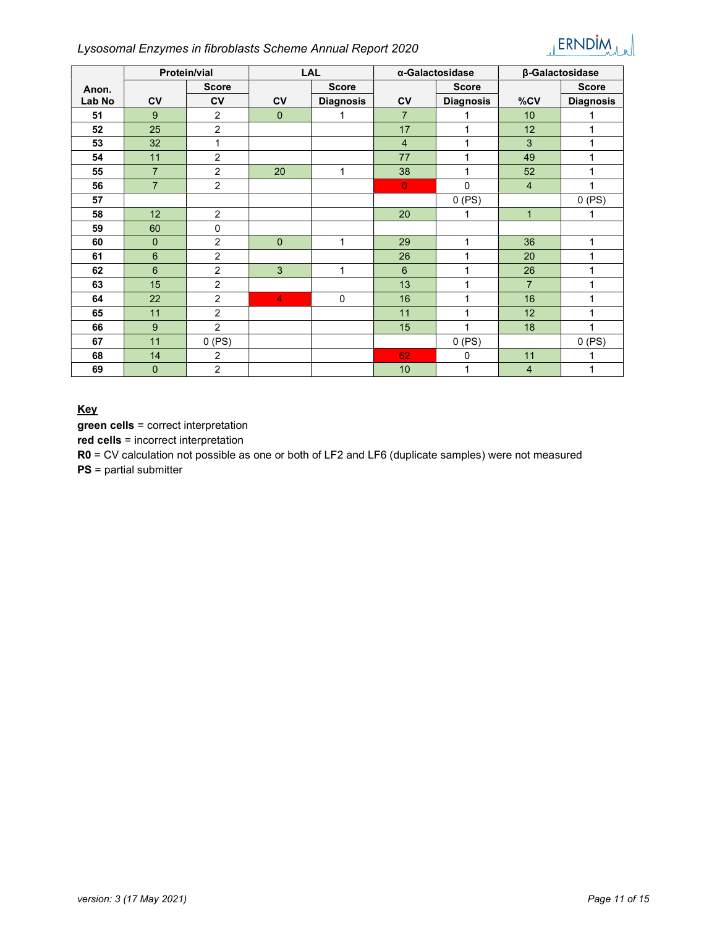### Lysosomal Enzymes in fibroblasts Scheme Annual Report 2020



|        | <b>Protein/vial</b> |                |                | <b>LAL</b>       | α-Galactosidase |                  | β-Galactosidase |                  |
|--------|---------------------|----------------|----------------|------------------|-----------------|------------------|-----------------|------------------|
| Anon.  |                     | <b>Score</b>   |                | <b>Score</b>     |                 | <b>Score</b>     |                 | <b>Score</b>     |
| Lab No | c <sub>V</sub>      | <b>CV</b>      | <b>CV</b>      | <b>Diagnosis</b> | $c_{V}$         | <b>Diagnosis</b> | %CV             | <b>Diagnosis</b> |
| 51     | 9                   | $\overline{c}$ | $\mathbf{0}$   | 1                | $\overline{7}$  |                  | 10              |                  |
| 52     | 25                  | $\overline{c}$ |                |                  | 17              | 1                | 12              | 1                |
| 53     | 32                  | 1              |                |                  | $\overline{4}$  | 1                | 3               | 1                |
| 54     | 11                  | $\overline{c}$ |                |                  | 77              | 1                | 49              | 1                |
| 55     | $\overline{7}$      | $\overline{2}$ | 20             | 1                | 38              | 1                | 52              | 1                |
| 56     | $\overline{7}$      | $\overline{2}$ |                |                  | $\overline{0}$  | 0                | $\overline{4}$  | 1                |
| 57     |                     |                |                |                  |                 | $0$ (PS)         |                 | 0(PS)            |
| 58     | 12                  | $\overline{2}$ |                |                  | 20              | 1                | $\mathbf{1}$    | 1                |
| 59     | 60                  | $\pmb{0}$      |                |                  |                 |                  |                 |                  |
| 60     | $\mathbf{0}$        | $\overline{2}$ | $\mathbf{0}$   | 1                | 29              | 1                | 36              | $\mathbf{1}$     |
| 61     | 6                   | $\overline{c}$ |                |                  | 26              | 1                | 20              | 1                |
| 62     | $6\phantom{1}$      | $\overline{2}$ | 3              | $\mathbf{1}$     | 6               | 1                | 26              | 1                |
| 63     | 15                  | 2              |                |                  | 13              | 1                | $\overline{7}$  | 1                |
| 64     | 22                  | $\overline{c}$ | $\overline{4}$ | $\mathbf 0$      | 16              | 1                | 16              | 1                |
| 65     | 11                  | $\overline{2}$ |                |                  | 11              | 1                | 12              | 1                |
| 66     | 9                   | $\overline{2}$ |                |                  | 15              | 1                | 18              | 4                |
| 67     | 11                  | $0$ (PS)       |                |                  |                 | $0$ (PS)         |                 | 0(PS)            |
| 68     | 14                  | $\overline{2}$ |                |                  | 62              | 0                | 11              |                  |
| 69     | $\overline{0}$      | $\overline{c}$ |                |                  | 10              | 1                | $\overline{4}$  | 1                |

### **Key**

green cells = correct interpretation

red cells = incorrect interpretation

R0 = CV calculation not possible as one or both of LF2 and LF6 (duplicate samples) were not measured

PS = partial submitter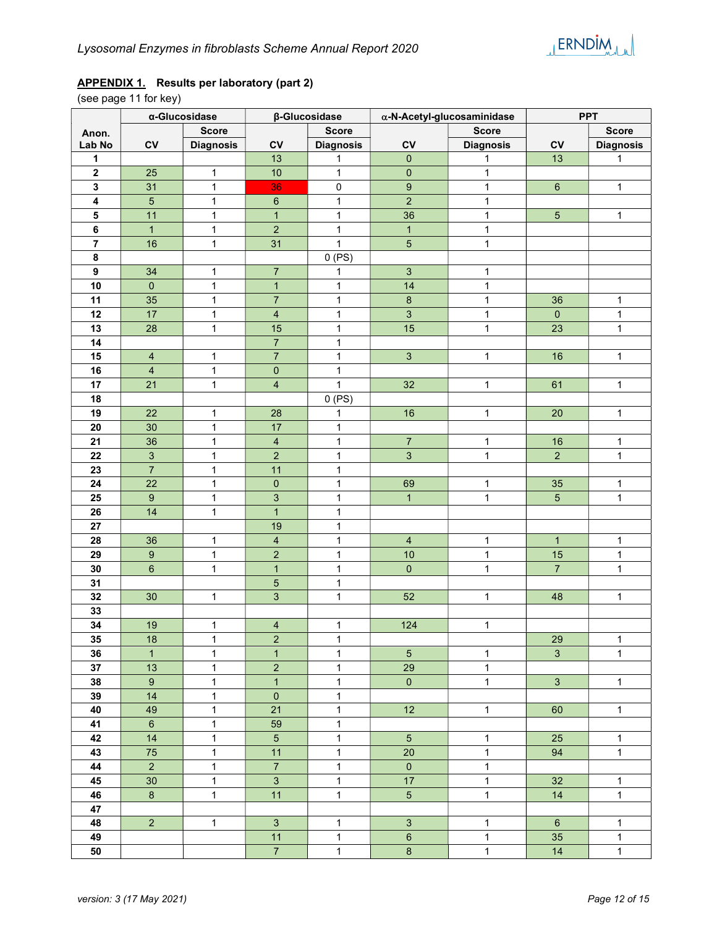# APPENDIX 1. Results per laboratory (part 2)

(see page 11 for key)

|                  |                         | α-Glucosidase<br>β-Glucosidase |                         |                  | $\alpha$ -N-Acetyl-glucosaminidase | <b>PPT</b>       |                 |                  |
|------------------|-------------------------|--------------------------------|-------------------------|------------------|------------------------------------|------------------|-----------------|------------------|
| Anon.            |                         | <b>Score</b>                   |                         | <b>Score</b>     |                                    | <b>Score</b>     |                 | <b>Score</b>     |
| Lab No           | ${\sf CV}$              | <b>Diagnosis</b>               | ${\sf CV}$              | <b>Diagnosis</b> | CV                                 | <b>Diagnosis</b> | ${\sf CV}$      | <b>Diagnosis</b> |
| 1                |                         |                                | 13                      | 1                | $\mathbf{0}$                       | 1                | 13              | 1                |
| $\boldsymbol{2}$ | 25                      | $\mathbf{1}$                   | $10$                    | $\mathbf{1}$     | $\mathbf 0$                        | 1                |                 |                  |
| $\mathbf 3$      | 31                      | $\mathbf{1}$                   | 36                      | $\pmb{0}$        | $\boldsymbol{9}$                   | 1                | $\,6\,$         | 1                |
| 4                | $\sqrt{5}$              | $\mathbf{1}$                   | $\,6\,$                 | $\mathbf{1}$     | $\overline{2}$                     | 1                |                 |                  |
| 5                | 11                      | $\mathbf{1}$                   | $\mathbf{1}$            | $\mathbf{1}$     | 36                                 | 1                | $\overline{5}$  | 1                |
| 6                | $\mathbf{1}$            | $\mathbf{1}$                   | $\mathbf 2$             | $\mathbf{1}$     | $\mathbf{1}$                       | 1                |                 |                  |
| $\overline{7}$   | 16                      | $\mathbf{1}$                   | 31                      | $\mathbf{1}$     | $\sqrt{5}$                         | $\mathbf{1}$     |                 |                  |
| $\bf 8$          |                         |                                |                         | 0(PS)            |                                    |                  |                 |                  |
| $\boldsymbol{9}$ | 34                      | $\mathbf{1}$                   | $\boldsymbol{7}$        | 1                | $\sqrt{3}$                         | 1                |                 |                  |
| 10               | $\mathbf 0$             | $\mathbf{1}$                   | $\mathbf{1}$            | $\mathbf{1}$     | 14                                 | 1                |                 |                  |
| 11               | 35                      | $\mathbf 1$                    | $\overline{7}$          | $\mathbf{1}$     | $\bf 8$                            | 1                | 36              | 1                |
| 12               | 17                      | $\mathbf{1}$                   | $\overline{\mathbf{4}}$ | $\mathbf{1}$     | $\sqrt{3}$                         | 1                | $\pmb{0}$       | 1                |
| 13               | 28                      | $\mathbf 1$                    | 15                      | $\mathbf 1$      | 15                                 | $\mathbf{1}$     | 23              | 1                |
| 14               |                         |                                | $\boldsymbol{7}$        | $\mathbf{1}$     |                                    |                  |                 |                  |
| 15               | $\overline{\mathbf{4}}$ | $\mathbf{1}$                   | $\boldsymbol{7}$        | $\mathbf{1}$     | $\mathbf{3}$                       | $\mathbf{1}$     | 16              | $\mathbf 1$      |
| 16               | $\overline{\mathbf{4}}$ | $\mathbf{1}$                   | $\pmb{0}$               | $\mathbf{1}$     |                                    |                  |                 |                  |
| 17               | 21                      | $\mathbf 1$                    | $\overline{\mathbf{4}}$ | $\mathbf 1$      | 32                                 | $\mathbf{1}$     | 61              | $\mathbf{1}$     |
| 18               |                         |                                |                         | 0(PS)            |                                    |                  |                 |                  |
| 19               | 22                      | $\mathbf{1}$                   | 28                      | 1                | 16                                 | $\mathbf{1}$     | 20              | $\mathbf{1}$     |
| 20               | 30                      | $\mathbf{1}$                   | 17                      | $\mathbf{1}$     |                                    |                  |                 |                  |
| 21               | 36                      | $\mathbf{1}$                   | $\overline{4}$          | $\mathbf{1}$     | $\overline{7}$                     | 1                | 16              | 1                |
| 22               | $\sqrt{3}$              | $\mathbf{1}$                   | $\sqrt{2}$              | $\mathbf{1}$     | $\sqrt{3}$                         | 1                | $\overline{2}$  | 1                |
| 23               | $\overline{7}$          | 1                              | 11                      | $\mathbf{1}$     |                                    |                  |                 |                  |
| 24               | 22                      | 1                              | $\pmb{0}$               | $\mathbf{1}$     | 69                                 | 1                | 35              | 1                |
| 25               | $\boldsymbol{9}$        | $\mathbf{1}$                   | $\mathbf{3}$            | $\mathbf 1$      | $\overline{1}$                     | $\mathbf{1}$     | $5\overline{)}$ | $\mathbf{1}$     |
| 26               | 14                      | $\mathbf{1}$                   | $\mathbf{1}$            | $\mathbf{1}$     |                                    |                  |                 |                  |
| 27               |                         |                                | 19                      | $\mathbf{1}$     |                                    |                  |                 |                  |
| 28               | 36                      | $\mathbf{1}$                   | $\overline{\mathbf{4}}$ | $\mathbf 1$      | $\overline{4}$                     | 1                | $\mathbf{1}$    | 1                |
| 29               | $\boldsymbol{9}$        | $\mathbf{1}$                   | $\mathbf 2$             | $\mathbf 1$      | $10$                               | $\mathbf{1}$     | 15              | $\mathbf{1}$     |
| 30               | $\,6\,$                 | $\mathbf 1$                    | $\mathbf{1}$            | $\mathbf 1$      | $\pmb{0}$                          | $\mathbf{1}$     | $\overline{7}$  | $\mathbf 1$      |
| 31               |                         |                                | $\overline{5}$          | $\mathbf{1}$     |                                    |                  |                 |                  |
| 32               | 30                      | $\mathbf{1}$                   | $\mathsf 3$             | $\mathbf{1}$     | 52                                 | $\mathbf{1}$     | 48              | 1                |
| 33               |                         |                                |                         |                  |                                    |                  |                 |                  |
| 34               | 19                      | $\mathbf{1}$                   | $\overline{\mathbf{4}}$ | $\mathbf{1}$     | 124                                | $\mathbf{1}$     |                 |                  |
| 35               | 18                      | $\mathbf{1}$                   | $\overline{2}$          | 1                |                                    |                  | 29              | 1                |
| 36               | $\overline{1}$          | $\mathbf{1}$                   | $\overline{1}$          | $\mathbf{1}$     | $\overline{5}$                     | $\mathbf{1}$     | $\overline{3}$  | $\mathbf{1}$     |
| 37               | 13                      | $\mathbf{1}$                   | $\sqrt{2}$              | $\mathbf{1}$     | 29                                 | $\mathbf{1}$     |                 |                  |
| 38               | 9 <sup>°</sup>          | $\mathbf{1}$                   | $\overline{1}$          | $\mathbf{1}$     | $\overline{0}$                     | $\mathbf{1}$     | 3 <sup>1</sup>  | $\mathbf{1}$     |
| 39               | 14                      | $\mathbf{1}$                   | $\pmb{0}$               | $\mathbf{1}$     |                                    |                  |                 |                  |
| 40               | 49                      | $\mathbf{1}$                   | 21                      | $\mathbf{1}$     | 12                                 | $\mathbf{1}$     | 60              | $\mathbf{1}$     |
| 41               | $6\overline{6}$         | $\mathbf{1}$                   | 59                      | $\mathbf{1}$     |                                    |                  |                 |                  |
| 42               | 14                      | $\mathbf{1}$                   | $5\phantom{.0}$         | $\mathbf{1}$     | $5\phantom{.0}$                    | $\mathbf{1}$     | 25              | $\mathbf{1}$     |
| 43               | $75\,$                  | $\mathbf{1}$                   | 11                      | $\mathbf 1$      | $20\,$                             | $\mathbf{1}$     | 94              | $\mathbf{1}$     |
| 44               | $\overline{2}$          | $\mathbf{1}$                   | $\overline{7}$          | $\mathbf 1$      | $\overline{0}$                     | $\mathbf{1}$     |                 |                  |
| 45               | $30\,$                  | $\mathbf{1}$                   | $\mathbf{3}$            | $\mathbf{1}$     | 17                                 | $\mathbf{1}$     | 32              | $\mathbf{1}$     |
| 46               | $\bf8$                  | $\mathbf{1}$                   | 11                      | $\mathbf 1$      | 5 <sup>5</sup>                     | $\mathbf{1}$     | 14              | $\mathbf{1}$     |
| 47               |                         |                                |                         |                  |                                    |                  |                 |                  |
| 48               | $\overline{2}$          | $\mathbf{1}$                   | $\mathbf{3}$            | $\mathbf{1}$     | $\mathbf{3}$                       | $\mathbf{1}$     | $6\overline{6}$ | $\mathbf{1}$     |
| 49               |                         |                                | 11                      | $\mathbf{1}$     | $\,6\,$                            | $\mathbf{1}$     | 35              | $\mathbf{1}$     |
| 50               |                         |                                | 7 <sup>7</sup>          | $\mathbf{1}$     | $\bf 8$                            | $\mathbf{1}$     | 14              | $\mathbf{1}$     |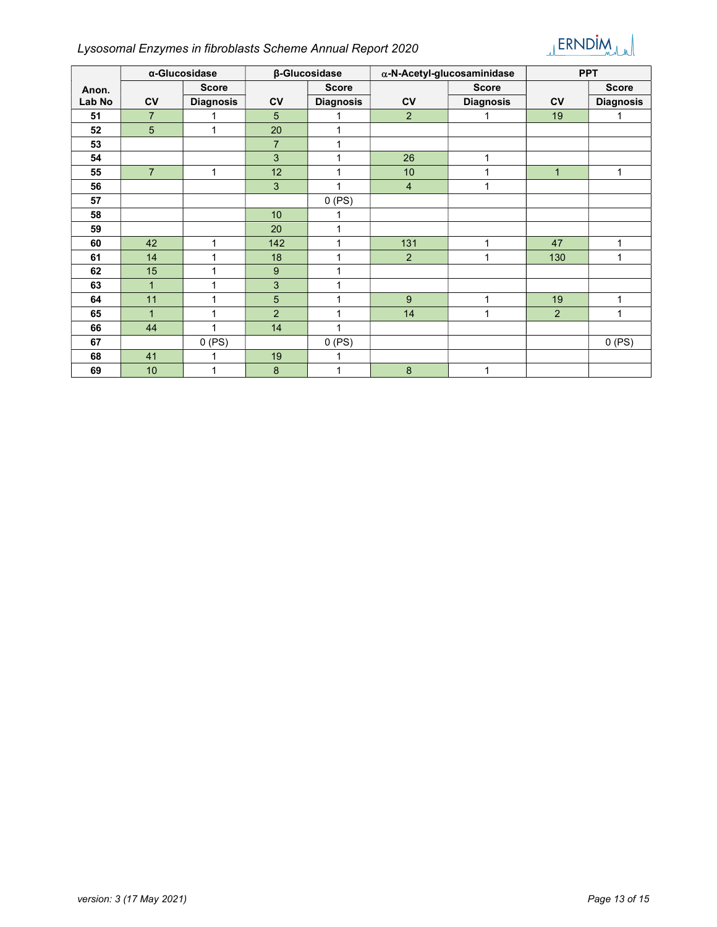# Lysosomal Enzymes in fibroblasts Scheme Annual Report 2020



|        | α-Glucosidase  |                  |                           | β-Glucosidase    |                | $\alpha$ -N-Acetyl-glucosaminidase | <b>PPT</b>   |                  |
|--------|----------------|------------------|---------------------------|------------------|----------------|------------------------------------|--------------|------------------|
| Anon.  |                | <b>Score</b>     |                           | <b>Score</b>     |                | <b>Score</b>                       |              | <b>Score</b>     |
| Lab No | <b>CV</b>      | <b>Diagnosis</b> | <b>CV</b>                 | <b>Diagnosis</b> | $c_{V}$        | <b>Diagnosis</b>                   | <b>CV</b>    | <b>Diagnosis</b> |
| 51     | $\overline{7}$ | 1                | 5                         | 1                | 2              | 1                                  | 19           | 1                |
| 52     | 5              | $\mathbf{1}$     | 20                        | 1                |                |                                    |              |                  |
| 53     |                |                  | $\overline{7}$            | 1                |                |                                    |              |                  |
| 54     |                |                  | $\mathbf{3}$              | 1                | 26             | 1                                  |              |                  |
| 55     | $\overline{7}$ | 1                | 12                        | 1                | 10             | 1                                  | $\mathbf{1}$ | 1                |
| 56     |                |                  | 3                         | 1                | $\overline{4}$ | 1                                  |              |                  |
| 57     |                |                  |                           | 0(PS)            |                |                                    |              |                  |
| 58     |                |                  | 10 <sup>1</sup>           | 1                |                |                                    |              |                  |
| 59     |                |                  | 20                        | 1                |                |                                    |              |                  |
| 60     | 42             | 1                | 142                       | 1                | 131            | 1                                  | 47           | 1                |
| 61     | 14             | 1                | 18                        | 1                | 2              | 1                                  | 130          | 1                |
| 62     | 15             | 1                | $\boldsymbol{9}$          | 1                |                |                                    |              |                  |
| 63     | $\mathbf{1}$   | 1                | $\ensuremath{\mathsf{3}}$ | 1                |                |                                    |              |                  |
| 64     | 11             | 1                | 5                         | 1                | 9              | 1                                  | 19           | 1                |
| 65     | $\mathbf{1}$   | 1                | $\overline{2}$            | 1                | 14             | 1                                  | 2            | 1                |
| 66     | 44             | 1                | 14                        | 1                |                |                                    |              |                  |
| 67     |                | 0(PS)            |                           | 0(PS)            |                |                                    |              | 0(PS)            |
| 68     | 41             |                  | 19                        |                  |                |                                    |              |                  |
| 69     | 10             | 1                | 8                         | 1                | 8              | 1                                  |              |                  |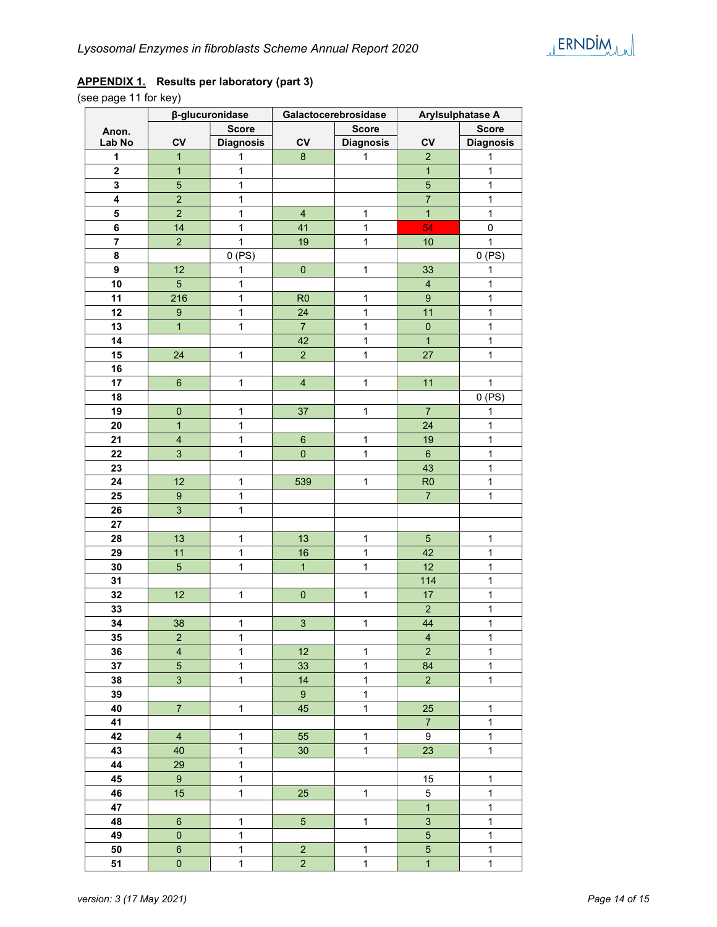### APPENDIX 1. Results per laboratory (part 3)

(see page 11 for key)

|                         | β-glucuronidase         |                  |                           | Galactocerebrosidase | Arylsulphatase A        |                  |
|-------------------------|-------------------------|------------------|---------------------------|----------------------|-------------------------|------------------|
| Anon.                   |                         | <b>Score</b>     |                           | <b>Score</b>         |                         | <b>Score</b>     |
| Lab No                  | CV                      | <b>Diagnosis</b> | CV                        | <b>Diagnosis</b>     | CV                      | <b>Diagnosis</b> |
| $\mathbf{1}$            | $\mathbf{1}$            | $\mathbf{1}$     | 8                         | $\mathbf{1}$         | $\overline{2}$          | $\mathbf{1}$     |
| $\mathbf 2$             | $\mathbf{1}$            | $\mathbf{1}$     |                           |                      | $\overline{1}$          | $\mathbf{1}$     |
| $\mathbf 3$             | $\overline{5}$          | $\mathbf{1}$     |                           |                      | $\overline{5}$          | $\mathbf{1}$     |
| $\overline{\mathbf{4}}$ | $\overline{2}$          | $\mathbf{1}$     |                           |                      | $\overline{7}$          | $\mathbf{1}$     |
| 5                       | $\overline{2}$          | $\mathbf{1}$     | $\overline{\mathbf{4}}$   | $\mathbf{1}$         | $\overline{1}$          | $\mathbf{1}$     |
| 6                       | 14                      | $\mathbf{1}$     | 41                        | $\mathbf{1}$         | 54                      | 0                |
| $\overline{\mathbf{r}}$ | $\overline{2}$          | $\mathbf{1}$     | 19                        | $\mathbf{1}$         | 10                      | $\mathbf{1}$     |
| 8                       |                         | $0$ (PS)         |                           |                      |                         | $0$ (PS)         |
| 9                       | 12                      | $\mathbf{1}$     | $\pmb{0}$                 | $\mathbf{1}$         | 33                      | $\mathbf 1$      |
| 10                      | $\overline{5}$          | $\mathbf{1}$     |                           |                      | $\overline{\mathbf{4}}$ | $\mathbf{1}$     |
| 11                      | 216                     | $\mathbf{1}$     | R <sub>0</sub>            | $\mathbf 1$          | $\overline{9}$          | $\mathbf{1}$     |
| 12                      | $\boldsymbol{9}$        | $\mathbf{1}$     | 24                        | $\mathbf 1$          | 11                      | $\mathbf{1}$     |
| 13                      | $\overline{1}$          | $\mathbf{1}$     | $\overline{7}$            | 1                    | $\mathbf 0$             | $\mathbf{1}$     |
| 14                      |                         |                  | 42                        | $\mathbf{1}$         | $\overline{1}$          | $\mathbf{1}$     |
| 15                      | 24                      | $\mathbf{1}$     | $\overline{2}$            | $\mathbf{1}$         | 27                      | $\mathbf{1}$     |
| 16                      |                         |                  |                           |                      |                         |                  |
| 17                      | $6\phantom{1}$          | $\mathbf{1}$     | $\overline{4}$            | $\mathbf{1}$         | 11                      | $\mathbf{1}$     |
| 18                      |                         |                  |                           |                      |                         | $0$ (PS)         |
| 19                      | $\mathbf 0$             | $\mathbf{1}$     | 37                        | $\mathbf{1}$         | $\overline{7}$          | $\mathbf{1}$     |
| 20                      | $\mathbf{1}$            | $\mathbf{1}$     |                           |                      | 24                      | $\mathbf{1}$     |
| 21                      | $\overline{\mathbf{4}}$ | $\mathbf{1}$     | $6\phantom{1}$            | 1                    | 19                      | $\mathbf{1}$     |
| 22                      | $\overline{3}$          | $\mathbf{1}$     | $\overline{0}$            | 1                    | $\boldsymbol{6}$        | $\mathbf{1}$     |
| 23                      |                         |                  |                           |                      | 43                      | $\mathbf{1}$     |
| 24                      | 12                      | $\mathbf{1}$     | 539                       | $\mathbf{1}$         | R <sub>0</sub>          | $\mathbf{1}$     |
| 25                      | $\boldsymbol{9}$        | $\mathbf{1}$     |                           |                      | $\overline{7}$          | $\mathbf{1}$     |
| 26                      | $\overline{3}$          | $\mathbf{1}$     |                           |                      |                         |                  |
| 27                      |                         |                  |                           |                      |                         |                  |
| 28                      | 13                      | $\mathbf 1$      | 13                        | 1                    | $\sqrt{5}$              | $\mathbf{1}$     |
| 29                      | 11                      | $\mathbf{1}$     | 16                        | $\mathbf{1}$         | 42                      | $\mathbf{1}$     |
| 30                      | $\overline{5}$          | $\mathbf{1}$     | $\overline{1}$            | $\mathbf{1}$         | 12                      | $\mathbf{1}$     |
| 31                      |                         |                  |                           |                      | 114                     | $\mathbf{1}$     |
| 32                      | 12                      | $\mathbf{1}$     | $\pmb{0}$                 | $\mathbf{1}$         | 17                      | $\mathbf{1}$     |
| 33                      |                         |                  |                           |                      | $\overline{2}$          | $\mathbf{1}$     |
| 34                      | 38                      | $\mathbf 1$      | $\ensuremath{\mathsf{3}}$ | $\mathbf{1}$         | 44                      | $\mathbf{1}$     |
| 35                      | $\overline{c}$          | 1                |                           |                      | 4                       | 1                |
| 36                      | $\overline{\mathbf{4}}$ | $\mathbf{1}$     | 12                        | $\mathbf{1}$         | $\overline{c}$          | $\mathbf{1}$     |
| 37                      | $\overline{5}$          | $\mathbf{1}$     | 33                        | $\mathbf{1}$         | 84                      | $\mathbf{1}$     |
| 38                      | $\mathbf{3}$            | $\mathbf{1}$     | 14                        | $\mathbf{1}$         | $\overline{2}$          | $\mathbf{1}$     |
| 39                      |                         |                  | $9\,$                     | $\mathbf{1}$         |                         |                  |
| 40                      | $\overline{7}$          | $\mathbf{1}$     | 45                        | $\mathbf{1}$         | 25                      | $\mathbf{1}$     |
| 41                      |                         |                  |                           |                      | $\overline{7}$          | $\mathbf{1}$     |
| 42                      | $\overline{4}$          | $\mathbf{1}$     | 55                        | $\mathbf{1}$         | 9                       | $\mathbf{1}$     |
| 43                      | 40                      | $\mathbf{1}$     | 30                        | $\mathbf{1}$         | 23                      | $\mathbf{1}$     |
| 44                      | 29                      | $\mathbf{1}$     |                           |                      |                         |                  |
| 45                      | $\boldsymbol{9}$        | $\mathbf 1$      |                           |                      | 15                      | $\mathbf{1}$     |
| 46                      | 15                      | $\mathbf{1}$     | 25                        | $\mathbf{1}$         | $\,$ 5 $\,$             | $\mathbf{1}$     |
| 47                      |                         |                  |                           |                      | $\mathbf{1}$            | $\mathbf{1}$     |
| 48                      | $\,6\,$                 | $\mathbf 1$      | $5\overline{)}$           | $\mathbf{1}$         | 3                       | $\mathbf{1}$     |
| 49                      | $\pmb{0}$               | $\mathbf 1$      |                           |                      | $\overline{5}$          | $\mathbf{1}$     |
| 50                      | $\,6\,$                 | $\mathbf{1}$     | $\overline{2}$            | $\mathbf{1}$         | $\overline{5}$          | $\mathbf{1}$     |
| 51                      | $\pmb{0}$               | $\mathbf 1$      | $\overline{2}$            | $\mathbf{1}$         | $\overline{1}$          | $\mathbf{1}$     |